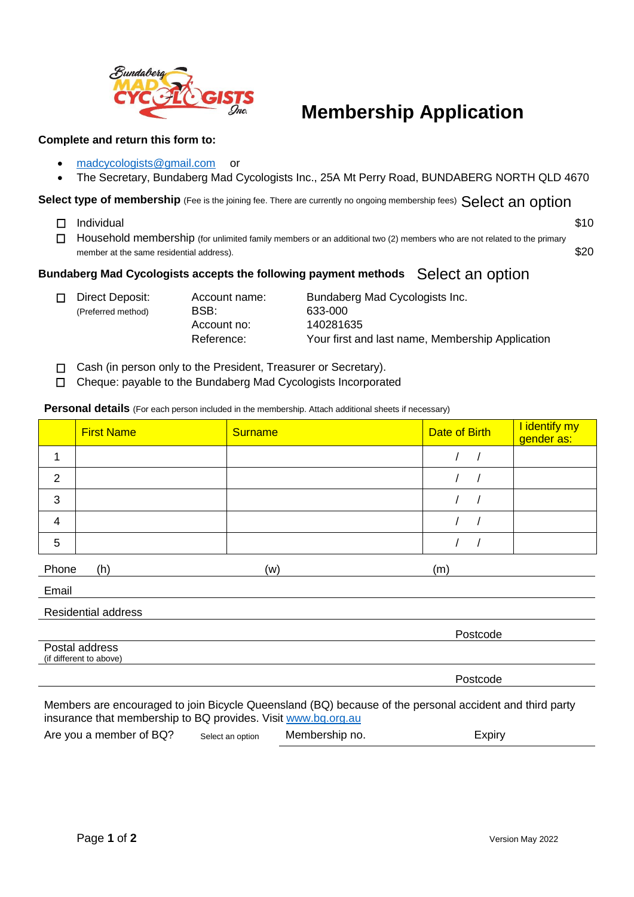

## **Membership Application**

## **Complete and return this form to:**

- [madcycologists@gmail.com](mailto:madcycologists@gmail.com) or
- The Secretary, Bundaberg Mad Cycologists Inc., 25A Mt Perry Road, BUNDABERG NORTH QLD 4670

- $\Box$  Individual  $\Box$  S10
- Select type of membership (Fee is the joining fee. There are currently no ongoing membership fees) Select an option<br>
□ Individual<br>
□ Household membership (for unlimited family members or an additional two (2) members who  $\Box$  Household membership (for unlimited family members or an additional two (2) members who are not related to the primary member at the same residential address).  $$20$

## **Bundaberg Mad Cycologists accepts the following payment methods**

- (Preferred method) BSB: 633-000
	- Account no: 140281635

□ Direct Deposit: Account name: Bundaberg Mad Cycologists Inc. Reference: Your first and last name, Membership Application

- $\Box$  Cash (in person only to the President, Treasurer or Secretary).
- Cheque: payable to the Bundaberg Mad Cycologists Incorporated

**Personal details** (For each person included in the membership. Attach additional sheets if necessary)

|                                                                                                         | <b>First Name</b> | <b>Surname</b> | Date of Birth | I identify my<br>gender as: |  |  |
|---------------------------------------------------------------------------------------------------------|-------------------|----------------|---------------|-----------------------------|--|--|
| 1                                                                                                       |                   |                |               |                             |  |  |
| $\overline{2}$                                                                                          |                   |                |               |                             |  |  |
| 3                                                                                                       |                   |                |               |                             |  |  |
| $\overline{4}$                                                                                          |                   |                |               |                             |  |  |
| 5                                                                                                       |                   |                |               |                             |  |  |
| Phone                                                                                                   | (h)               | (w)            | (m)           |                             |  |  |
| Email                                                                                                   |                   |                |               |                             |  |  |
| <b>Residential address</b>                                                                              |                   |                |               |                             |  |  |
|                                                                                                         |                   |                | Postcode      |                             |  |  |
| Postal address<br>(if different to above)                                                               |                   |                |               |                             |  |  |
|                                                                                                         |                   |                | Postcode      |                             |  |  |
| Members are encouraged to join Bicycle Queensland (BQ) because of the personal accident and third party |                   |                |               |                             |  |  |

Members are encouraged to join Bicycle Queensland (BQ) because of the personal accident and third party insurance that membership to BQ provides. Visit [www.bq.org.au](http://www.bq.org.au/)

| Are you a member of BQ? | Select an option | Membership no. | Expiry |
|-------------------------|------------------|----------------|--------|
|-------------------------|------------------|----------------|--------|